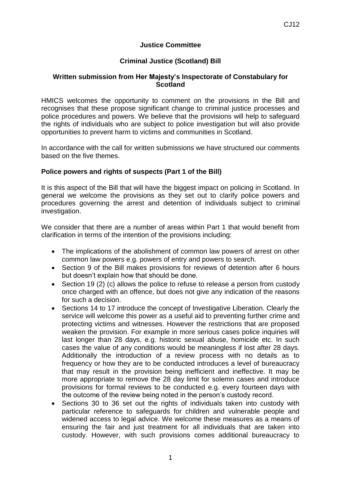## **Justice Committee**

# **Criminal Justice (Scotland) Bill**

## **Written submission from Her Majesty's Inspectorate of Constabulary for Scotland**

HMICS welcomes the opportunity to comment on the provisions in the Bill and recognises that these propose significant change to criminal justice processes and police procedures and powers. We believe that the provisions will help to safeguard the rights of individuals who are subject to police investigation but will also provide opportunities to prevent harm to victims and communities in Scotland.

In accordance with the call for written submissions we have structured our comments based on the five themes.

#### **Police powers and rights of suspects (Part 1 of the Bill)**

It is this aspect of the Bill that will have the biggest impact on policing in Scotland. In general we welcome the provisions as they set out to clarify police powers and procedures governing the arrest and detention of individuals subject to criminal investigation.

We consider that there are a number of areas within Part 1 that would benefit from clarification in terms of the intention of the provisions including:

- The implications of the abolishment of common law powers of arrest on other common law powers e.g. powers of entry and powers to search.
- Section 9 of the Bill makes provisions for reviews of detention after 6 hours but doesn't explain how that should be done.
- Section 19 (2) (c) allows the police to refuse to release a person from custody once charged with an offence, but does not give any indication of the reasons for such a decision.
- Sections 14 to 17 introduce the concept of Investigative Liberation. Clearly the service will welcome this power as a useful aid to preventing further crime and protecting victims and witnesses. However the restrictions that are proposed weaken the provision. For example in more serious cases police inquiries will last longer than 28 days, e.g. historic sexual abuse, homicide etc. In such cases the value of any conditions would be meaningless if lost after 28 days. Additionally the introduction of a review process with no details as to frequency or how they are to be conducted introduces a level of bureaucracy that may result in the provision being inefficient and ineffective. It may be more appropriate to remove the 28 day limit for solemn cases and introduce provisions for formal reviews to be conducted e.g. every fourteen days with the outcome of the review being noted in the person's custody record.
- Sections 30 to 36 set out the rights of individuals taken into custody with particular reference to safeguards for children and vulnerable people and widened access to legal advice. We welcome these measures as a means of ensuring the fair and just treatment for all individuals that are taken into custody. However, with such provisions comes additional bureaucracy to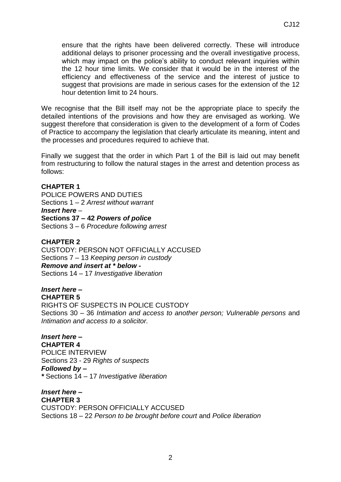We recognise that the Bill itself may not be the appropriate place to specify the detailed intentions of the provisions and how they are envisaged as working. We suggest therefore that consideration is given to the development of a form of Codes of Practice to accompany the legislation that clearly articulate its meaning, intent and the processes and procedures required to achieve that.

Finally we suggest that the order in which Part 1 of the Bill is laid out may benefit from restructuring to follow the natural stages in the arrest and detention process as follows:

## **CHAPTER 1**

POLICE POWERS AND DUTIES Sections 1 – 2 *Arrest without warrant Insert here –* **Sections 37 – 42** *Powers of police*  Sections 3 – 6 *Procedure following arrest* 

## **CHAPTER 2**

CUSTODY: PERSON NOT OFFICIALLY ACCUSED Sections 7 – 13 *Keeping person in custody Remove and insert at \* below -*  Sections 14 – 17 *Investigative liberation*

*Insert here –* **CHAPTER 5** RIGHTS OF SUSPECTS IN POLICE CUSTODY Sections 30 – 36 *Intimation and access to another person; Vulnerable persons* and *Intimation and access to a solicitor.*

#### *Insert here –*

**CHAPTER 4** POLICE INTERVIEW Sections 23 - 29 *Rights of suspects Followed by – \** Sections 14 – 17 *Investigative liberation* 

*Insert here –* **CHAPTER 3** CUSTODY: PERSON OFFICIALLY ACCUSED Sections 18 – 22 *Person to be brought before court* and *Police liberation*